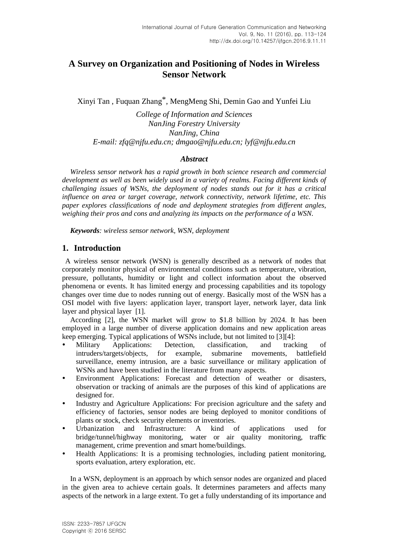# **A Survey on Organization and Positioning of Nodes in Wireless Sensor Network**

Xinyi Tan , Fuquan Zhang\*, MengMeng Shi, Demin Gao and Yunfei Liu

*College of Information and Sciences NanJing Forestry University NanJing, China E-mail: zfq@njfu.edu.cn; dmgao@njfu.edu.cn; lyf@njfu.edu.cn*

# *Abstract*

*Wireless sensor network has a rapid growth in both science research and commercial development as well as been widely used in a variety of realms. Facing different kinds of challenging issues of WSNs, the deployment of nodes stands out for it has a critical influence on area or target coverage, network connectivity, network lifetime, etc. This paper explores classifications of node and deployment strategies from different angles, weighing their pros and cons and analyzing its impacts on the performance of a WSN.*

*Keywords: wireless sensor network, WSN, deployment*

# **1. Introduction**

A wireless sensor network (WSN) is generally described as a network of nodes that corporately monitor physical of environmental conditions such as temperature, vibration, pressure, pollutants, humidity or light and collect information about the observed phenomena or events. It has limited energy and processing capabilities and its topology changes over time due to nodes running out of energy. Basically most of the WSN has a OSI model with five layers: application layer, transport layer, network layer, data link layer and physical layer [1].

According [2], the WSN market will grow to \$1.8 billion by 2024. It has been employed in a large number of diverse application domains and new application areas keep emerging. Typical applications of WSNs include, but not limited to [3][4]:

- Military Applications: Detection, classification, and tracking of intruders/targets/objects, for example, submarine movements, battlefield surveillance, enemy intrusion, are a basic surveillance or military application of WSNs and have been studied in the literature from many aspects.
- Environment Applications: Forecast and detection of weather or disasters, observation or tracking of animals are the purposes of this kind of applications are designed for.
- Industry and Agriculture Applications: For precision agriculture and the safety and efficiency of factories, sensor nodes are being deployed to monitor conditions of plants or stock, check security elements or inventories.
- Urbanization and Infrastructure: A kind of applications used for bridge/tunnel/highway monitoring, water or air quality monitoring, traffic management, crime prevention and smart home/buildings.
- Health Applications: It is a promising technologies, including patient monitoring, sports evaluation, artery exploration, etc.

In a WSN, deployment is an approach by which sensor nodes are organized and placed in the given area to achieve certain goals. It determines parameters and affects many aspects of the network in a large extent. To get a fully understanding of its importance and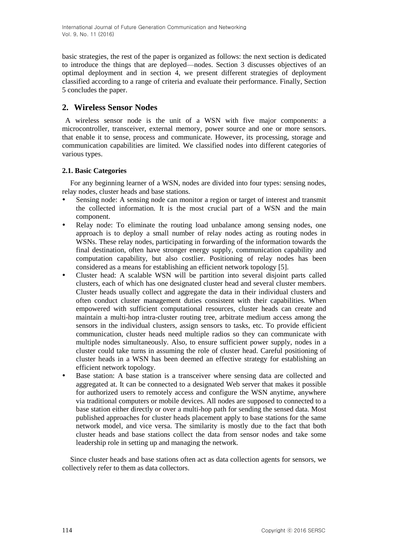basic strategies, the rest of the paper is organized as follows: the next section is dedicated to introduce the things that are deployed—nodes. Section 3 discusses objectives of an optimal deployment and in section 4, we present different strategies of deployment classified according to a range of criteria and evaluate their performance. Finally, Section 5 concludes the paper.

# **2. Wireless Sensor Nodes**

A wireless sensor node is the unit of a WSN with five major components: a microcontroller, transceiver, external memory, power source and one or more sensors. that enable it to sense, process and communicate. However, its processing, storage and communication capabilities are limited. We classified nodes into different categories of various types.

# **2.1. Basic Categories**

For any beginning learner of a WSN, nodes are divided into four types: sensing nodes, relay nodes, cluster heads and base stations.

- Sensing node: A sensing node can monitor a region or target of interest and transmit the collected information. It is the most crucial part of a WSN and the main component.
- Relay node: To eliminate the routing load unbalance among sensing nodes, one approach is to deploy a small number of relay nodes acting as routing nodes in WSNs. These relay nodes, participating in forwarding of the information towards the final destination, often have stronger energy supply, communication capability and computation capability, but also costlier. Positioning of relay nodes has been considered as a means for establishing an efficient network topology [5].
- Cluster head: A scalable WSN will be partition into several disjoint parts called clusters, each of which has one designated cluster head and several cluster members. Cluster heads usually collect and aggregate the data in their individual clusters and often conduct cluster management duties consistent with their capabilities. When empowered with sufficient computational resources, cluster heads can create and maintain a multi-hop intra-cluster routing tree, arbitrate medium access among the sensors in the individual clusters, assign sensors to tasks, etc. To provide efficient communication, cluster heads need multiple radios so they can communicate with multiple nodes simultaneously. Also, to ensure sufficient power supply, nodes in a cluster could take turns in assuming the role of cluster head. Careful positioning of cluster heads in a WSN has been deemed an effective strategy for establishing an efficient network topology.
- Base station: A base station is a transceiver where sensing data are collected and aggregated at. It can be connected to a designated Web server that makes it possible for authorized users to remotely access and configure the WSN anytime, anywhere via traditional computers or mobile devices. All nodes are supposed to connected to a base station either directly or over a multi-hop path for sending the sensed data. Most published approaches for cluster heads placement apply to base stations for the same network model, and vice versa. The similarity is mostly due to the fact that both cluster heads and base stations collect the data from sensor nodes and take some leadership role in setting up and managing the network.

Since cluster heads and base stations often act as data collection agents for sensors, we collectively refer to them as data collectors.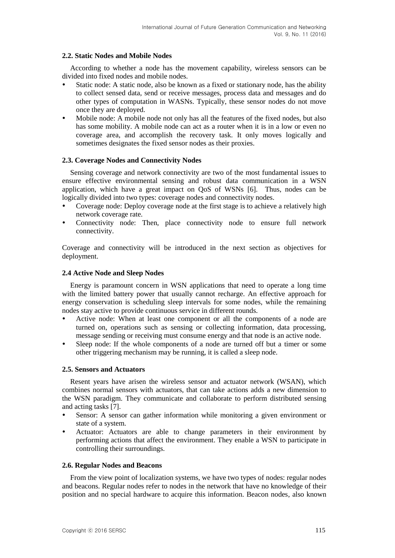## **2.2. Static Nodes and Mobile Nodes**

According to whether a node has the movement capability, wireless sensors can be divided into fixed nodes and mobile nodes.

- Static node: A static node, also be known as a fixed or stationary node, has the ability to collect sensed data, send or receive messages, process data and messages and do other types of computation in WASNs. Typically, these sensor nodes do not move once they are deployed.
- Mobile node: A mobile node not only has all the features of the fixed nodes, but also has some mobility. A mobile node can act as a router when it is in a low or even no coverage area, and accomplish the recovery task. It only moves logically and sometimes designates the fixed sensor nodes as their proxies.

# **2.3. Coverage Nodes and Connectivity Nodes**

Sensing coverage and network connectivity are two of the most fundamental issues to ensure effective environmental sensing and robust data communication in a WSN application, which have a great impact on QoS of WSNs [6]. Thus, nodes can be logically divided into two types: coverage nodes and connectivity nodes.

- Coverage node: Deploy coverage node at the first stage is to achieve a relatively high network coverage rate.
- Connectivity node: Then, place connectivity node to ensure full network connectivity.

Coverage and connectivity will be introduced in the next section as objectives for deployment.

# **2.4 Active Node and Sleep Nodes**

Energy is paramount concern in WSN applications that need to operate a long time with the limited battery power that usually cannot recharge. An effective approach for energy conservation is scheduling sleep intervals for some nodes, while the remaining nodes stay active to provide continuous service in different rounds.

- Active node: When at least one component or all the components of a node are turned on, operations such as sensing or collecting information, data processing, message sending or receiving must consume energy and that node is an active node.
- Sleep node: If the whole components of a node are turned off but a timer or some other triggering mechanism may be running, it is called a sleep node.

## **2.5. Sensors and Actuators**

Resent years have arisen the wireless sensor and actuator network (WSAN), which combines normal sensors with actuators, that can take actions adds a new dimension to the WSN paradigm. They communicate and collaborate to perform distributed sensing and acting tasks [7].

- Sensor: A sensor can gather information while monitoring a given environment or state of a system.
- Actuator: Actuators are able to change parameters in their environment by performing actions that affect the environment. They enable a WSN to participate in controlling their surroundings.

## **2.6. Regular Nodes and Beacons**

From the view point of localization systems, we have two types of nodes: regular nodes and beacons. Regular nodes refer to nodes in the network that have no knowledge of their position and no special hardware to acquire this information. Beacon nodes, also known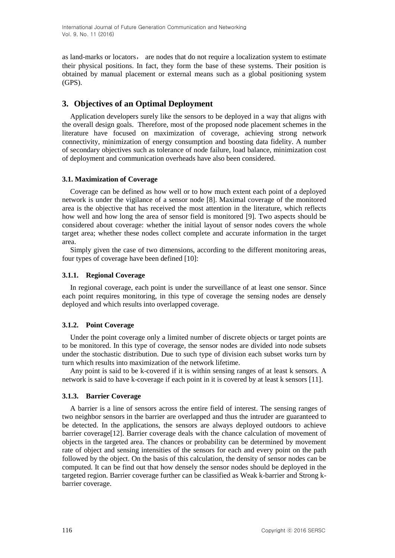as land-marks or locators, are nodes that do not require a localization system to estimate their physical positions. In fact, they form the base of these systems. Their position is obtained by manual placement or external means such as a global positioning system (GPS).

# **3. Objectives of an Optimal Deployment**

Application developers surely like the sensors to be deployed in a way that aligns with the overall design goals. Therefore, most of the proposed node placement schemes in the literature have focused on maximization of coverage, achieving strong network connectivity, minimization of energy consumption and boosting data fidelity. A number of secondary objectives such as tolerance of node failure, load balance, minimization cost of deployment and communication overheads have also been considered.

# **3.1. Maximization of Coverage**

Coverage can be defined as how well or to how much extent each point of a deployed network is under the vigilance of a sensor node [8]. Maximal coverage of the monitored area is the objective that has received the most attention in the literature, which reflects how well and how long the area of sensor field is monitored [9]. Two aspects should be considered about coverage: whether the initial layout of sensor nodes covers the whole target area; whether these nodes collect complete and accurate information in the target area.

Simply given the case of two dimensions, according to the different monitoring areas, four types of coverage have been defined [10]:

# **3.1.1. Regional Coverage**

In regional coverage, each point is under the surveillance of at least one sensor. Since each point requires monitoring, in this type of coverage the sensing nodes are densely deployed and which results into overlapped coverage.

# **3.1.2. Point Coverage**

Under the point coverage only a limited number of discrete objects or target points are to be monitored. In this type of coverage, the sensor nodes are divided into node subsets under the stochastic distribution. Due to such type of division each subset works turn by turn which results into maximization of the network lifetime.

Any point is said to be k-covered if it is within sensing ranges of at least k sensors. A network is said to have k-coverage if each point in it is covered by at least k sensors [11].

# **3.1.3. Barrier Coverage**

A barrier is a line of sensors across the entire field of interest. The sensing ranges of two neighbor sensors in the barrier are overlapped and thus the intruder are guaranteed to be detected. In the applications, the sensors are always deployed outdoors to achieve barrier coverage[12]. Barrier coverage deals with the chance calculation of movement of objects in the targeted area. The chances or probability can be determined by movement rate of object and sensing intensities of the sensors for each and every point on the path followed by the object. On the basis of this calculation, the density of sensor nodes can be computed. It can be find out that how densely the sensor nodes should be deployed in the targeted region. Barrier coverage further can be classified as Weak k-barrier and Strong kbarrier coverage.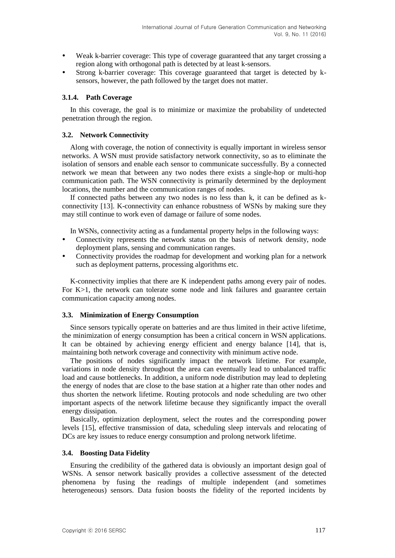- Weak k-barrier coverage: This type of coverage guaranteed that any target crossing a region along with orthogonal path is detected by at least k-sensors.
- Strong k-barrier coverage: This coverage guaranteed that target is detected by ksensors, however, the path followed by the target does not matter.

#### **3.1.4. Path Coverage**

In this coverage, the goal is to minimize or maximize the probability of undetected penetration through the region.

#### **3.2. Network Connectivity**

Along with coverage, the notion of connectivity is equally important in wireless sensor networks. A WSN must provide satisfactory network connectivity, so as to eliminate the isolation of sensors and enable each sensor to communicate successfully. By a connected network we mean that between any two nodes there exists a single-hop or multi-hop communication path. The WSN connectivity is primarily determined by the deployment locations, the number and the communication ranges of nodes.

If connected paths between any two nodes is no less than k, it can be defined as kconnectivity [13]. K-connectivity can enhance robustness of WSNs by making sure they may still continue to work even of damage or failure of some nodes.

In WSNs, connectivity acting as a fundamental property helps in the following ways:

- Connectivity represents the network status on the basis of network density, node deployment plans, sensing and communication ranges.
- Connectivity provides the roadmap for development and working plan for a network such as deployment patterns, processing algorithms etc.

K-connectivity implies that there are K independent paths among every pair of nodes. For K>1, the network can tolerate some node and link failures and guarantee certain communication capacity among nodes.

#### **3.3. Minimization of Energy Consumption**

Since sensors typically operate on batteries and are thus limited in their active lifetime, the minimization of energy consumption has been a critical concern in WSN applications. It can be obtained by achieving energy efficient and energy balance [14], that is, maintaining both network coverage and connectivity with minimum active node.

The positions of nodes significantly impact the network lifetime. For example, variations in node density throughout the area can eventually lead to unbalanced traffic load and cause bottlenecks. In addition, a uniform node distribution may lead to depleting the energy of nodes that are close to the base station at a higher rate than other nodes and thus shorten the network lifetime. Routing protocols and node scheduling are two other important aspects of the network lifetime because they significantly impact the overall energy dissipation.

Basically, optimization deployment, select the routes and the corresponding power levels [15], effective transmission of data, scheduling sleep intervals and relocating of DCs are key issues to reduce energy consumption and prolong network lifetime.

#### **3.4. Boosting Data Fidelity**

Ensuring the credibility of the gathered data is obviously an important design goal of WSNs. A sensor network basically provides a collective assessment of the detected phenomena by fusing the readings of multiple independent (and sometimes heterogeneous) sensors. Data fusion boosts the fidelity of the reported incidents by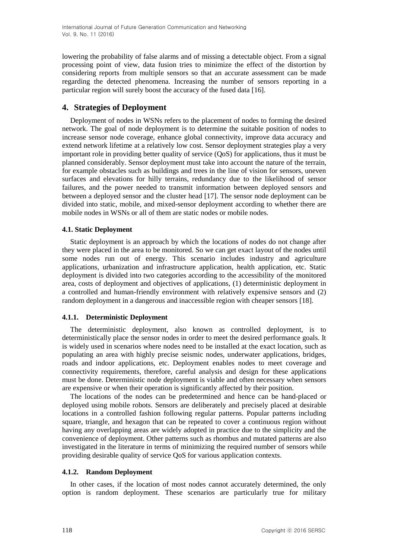lowering the probability of false alarms and of missing a detectable object. From a signal processing point of view, data fusion tries to minimize the effect of the distortion by considering reports from multiple sensors so that an accurate assessment can be made regarding the detected phenomena. Increasing the number of sensors reporting in a particular region will surely boost the accuracy of the fused data [16].

# **4. Strategies of Deployment**

Deployment of nodes in WSNs refers to the placement of nodes to forming the desired network. The goal of node deployment is to determine the suitable position of nodes to increase sensor node coverage, enhance global connectivity, improve data accuracy and extend network lifetime at a relatively low cost. Sensor deployment strategies play a very important role in providing better quality of service (QoS) for applications, thus it must be planned considerably. Sensor deployment must take into account the nature of the terrain, for example obstacles such as buildings and trees in the line of vision for sensors, uneven surfaces and elevations for hilly terrains, redundancy due to the likelihood of sensor failures, and the power needed to transmit information between deployed sensors and between a deployed sensor and the cluster head [17]. The sensor node deployment can be divided into static, mobile, and mixed-sensor deployment according to whether there are mobile nodes in WSNs or all of them are static nodes or mobile nodes.

## **4.1. Static Deployment**

Static deployment is an approach by which the locations of nodes do not change after they were placed in the area to be monitored. So we can get exact layout of the nodes until some nodes run out of energy. This scenario includes industry and agriculture applications, urbanization and infrastructure application, health application, etc. Static deployment is divided into two categories according to the accessibility of the monitored area, costs of deployment and objectives of applications, (1) deterministic deployment in a controlled and human-friendly environment with relatively expensive sensors and (2) random deployment in a dangerous and inaccessible region with cheaper sensors [18].

## **4.1.1. Deterministic Deployment**

The deterministic deployment, also known as controlled deployment, is to deterministically place the sensor nodes in order to meet the desired performance goals. It is widely used in scenarios where nodes need to be installed at the exact location, such as populating an area with highly precise seismic nodes, underwater applications, bridges, roads and indoor applications, etc. Deployment enables nodes to meet coverage and connectivity requirements, therefore, careful analysis and design for these applications must be done. Deterministic node deployment is viable and often necessary when sensors are expensive or when their operation is significantly affected by their position.

The locations of the nodes can be predetermined and hence can be hand-placed or deployed using mobile robots. Sensors are deliberately and precisely placed at desirable locations in a controlled fashion following regular patterns. Popular patterns including square, triangle, and hexagon that can be repeated to cover a continuous region without having any overlapping areas are widely adopted in practice due to the simplicity and the convenience of deployment. Other patterns such as rhombus and mutated patterns are also investigated in the literature in terms of minimizing the required number of sensors while providing desirable quality of service QoS for various application contexts.

## **4.1.2. Random Deployment**

In other cases, if the location of most nodes cannot accurately determined, the only option is random deployment. These scenarios are particularly true for military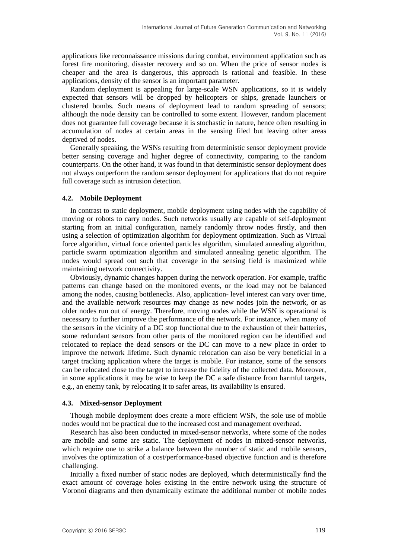applications like reconnaissance missions during combat, environment application such as forest fire monitoring, disaster recovery and so on. When the price of sensor nodes is cheaper and the area is dangerous, this approach is rational and feasible. In these applications, density of the sensor is an important parameter.

Random deployment is appealing for large-scale WSN applications, so it is widely expected that sensors will be dropped by helicopters or ships, grenade launchers or clustered bombs. Such means of deployment lead to random spreading of sensors; although the node density can be controlled to some extent. However, random placement does not guarantee full coverage because it is stochastic in nature, hence often resulting in accumulation of nodes at certain areas in the sensing filed but leaving other areas deprived of nodes.

Generally speaking, the WSNs resulting from deterministic sensor deployment provide better sensing coverage and higher degree of connectivity, comparing to the random counterparts. On the other hand, it was found in that deterministic sensor deployment does not always outperform the random sensor deployment for applications that do not require full coverage such as intrusion detection.

#### **4.2. Mobile Deployment**

In contrast to static deployment, mobile deployment using nodes with the capability of moving or robots to carry nodes. Such networks usually are capable of self-deployment starting from an initial configuration, namely randomly throw nodes firstly, and then using a selection of optimization algorithm for deployment optimization. Such as Virtual force algorithm, virtual force oriented particles algorithm, simulated annealing algorithm, particle swarm optimization algorithm and simulated annealing genetic algorithm. The nodes would spread out such that coverage in the sensing field is maximized while maintaining network connectivity.

Obviously, dynamic changes happen during the network operation. For example, traffic patterns can change based on the monitored events, or the load may not be balanced among the nodes, causing bottlenecks. Also, application- level interest can vary over time, and the available network resources may change as new nodes join the network, or as older nodes run out of energy. Therefore, moving nodes while the WSN is operational is necessary to further improve the performance of the network. For instance, when many of the sensors in the vicinity of a DC stop functional due to the exhaustion of their batteries, some redundant sensors from other parts of the monitored region can be identified and relocated to replace the dead sensors or the DC can move to a new place in order to improve the network lifetime. Such dynamic relocation can also be very beneficial in a target tracking application where the target is mobile. For instance, some of the sensors can be relocated close to the target to increase the fidelity of the collected data. Moreover, in some applications it may be wise to keep the DC a safe distance from harmful targets, e.g., an enemy tank, by relocating it to safer areas, its availability is ensured.

#### **4.3. Mixed-sensor Deployment**

Though mobile deployment does create a more efficient WSN, the sole use of mobile nodes would not be practical due to the increased cost and management overhead.

Research has also been conducted in mixed-sensor networks, where some of the nodes are mobile and some are static. The deployment of nodes in mixed-sensor networks, which require one to strike a balance between the number of static and mobile sensors, involves the optimization of a cost/performance-based objective function and is therefore challenging.

Initially a fixed number of static nodes are deployed, which deterministically find the exact amount of coverage holes existing in the entire network using the structure of Voronoi diagrams and then dynamically estimate the additional number of mobile nodes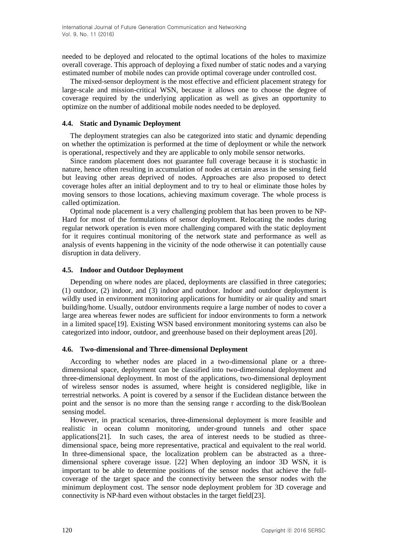needed to be deployed and relocated to the optimal locations of the holes to maximize overall coverage. This approach of deploying a fixed number of static nodes and a varying estimated number of mobile nodes can provide optimal coverage under controlled cost.

The mixed-sensor deployment is the most effective and efficient placement strategy for large-scale and mission-critical WSN, because it allows one to choose the degree of coverage required by the underlying application as well as gives an opportunity to optimize on the number of additional mobile nodes needed to be deployed.

## **4.4. Static and Dynamic Deployment**

The deployment strategies can also be categorized into static and dynamic depending on whether the optimization is performed at the time of deployment or while the network is operational, respectively and they are applicable to only mobile sensor networks.

Since random placement does not guarantee full coverage because it is stochastic in nature, hence often resulting in accumulation of nodes at certain areas in the sensing field but leaving other areas deprived of nodes. Approaches are also proposed to detect coverage holes after an initial deployment and to try to heal or eliminate those holes by moving sensors to those locations, achieving maximum coverage. The whole process is called optimization.

Optimal node placement is a very challenging problem that has been proven to be NP-Hard for most of the formulations of sensor deployment. Relocating the nodes during regular network operation is even more challenging compared with the static deployment for it requires continual monitoring of the network state and performance as well as analysis of events happening in the vicinity of the node otherwise it can potentially cause disruption in data delivery.

# **4.5. Indoor and Outdoor Deployment**

Depending on where nodes are placed, deployments are classified in three categories; (1) outdoor, (2) indoor, and (3) indoor and outdoor. Indoor and outdoor deployment is wildly used in environment monitoring applications for humidity or air quality and smart building/home. Usually, outdoor environments require a large number of nodes to cover a large area whereas fewer nodes are sufficient for indoor environments to form a network in a limited space[19]. Existing WSN based environment monitoring systems can also be categorized into indoor, outdoor, and greenhouse based on their deployment areas [20].

# **4.6. Two-dimensional and Three-dimensional Deployment**

According to whether nodes are placed in a two-dimensional plane or a threedimensional space, deployment can be classified into two-dimensional deployment and three-dimensional deployment. In most of the applications, two-dimensional deployment of wireless sensor nodes is assumed, where height is considered negligible, like in terrestrial networks. A point is covered by a sensor if the Euclidean distance between the point and the sensor is no more than the sensing range r according to the disk/Boolean sensing model.

However, in practical scenarios, three-dimensional deployment is more feasible and realistic in ocean column monitoring, under-ground tunnels and other space applications[21]. In such cases, the area of interest needs to be studied as threedimensional space, being more representative, practical and equivalent to the real world. In three-dimensional space, the localization problem can be abstracted as a threedimensional sphere coverage issue. [22] When deploying an indoor 3D WSN, it is important to be able to determine positions of the sensor nodes that achieve the fullcoverage of the target space and the connectivity between the sensor nodes with the minimum deployment cost. The sensor node deployment problem for 3D coverage and connectivity is NP-hard even without obstacles in the target field[23].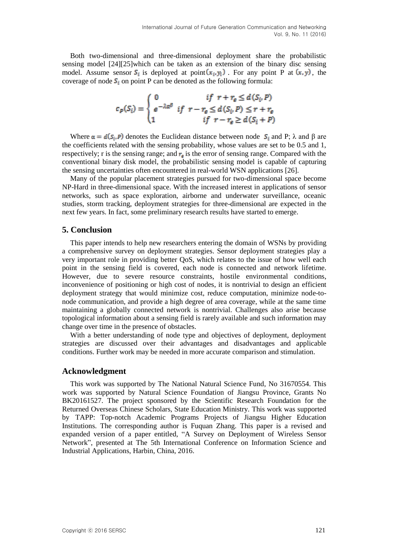Both two-dimensional and three-dimensional deployment share the probabilistic sensing model [24][25]which can be taken as an extension of the binary disc sensing model. Assume sensor  $S_i$  is deployed at point  $(x_i, y_i)$ . For any point P at  $(x, y)$ , the coverage of node  $S_i$  on point P can be denoted as the following formula:

$$
c_p(S_i) = \begin{cases} 0 & \text{if } r + r_e \le d(S_i, P) \\ e^{-\lambda \alpha^{\beta}} & \text{if } r - r_e \le d(S_i, P) \le r + r_e \\ 1 & \text{if } r - r_e \ge d(S_i + P) \end{cases}
$$

Where  $\alpha = d(S_i, P)$  denotes the Euclidean distance between node  $S_i$  and P;  $\lambda$  and  $\beta$  are the coefficients related with the sensing probability, whose values are set to be 0.5 and 1, respectively; r is the sensing range; and  $r<sub>s</sub>$  is the error of sensing range. Compared with the conventional binary disk model, the probabilistic sensing model is capable of capturing the sensing uncertainties often encountered in real-world WSN applications [26].

Many of the popular placement strategies pursued for two-dimensional space become NP-Hard in three-dimensional space. With the increased interest in applications of sensor networks, such as space exploration, airborne and underwater surveillance, oceanic studies, storm tracking, deployment strategies for three-dimensional are expected in the next few years. In fact, some preliminary research results have started to emerge.

## **5. Conclusion**

This paper intends to help new researchers entering the domain of WSNs by providing a comprehensive survey on deployment strategies. Sensor deployment strategies play a very important role in providing better QoS, which relates to the issue of how well each point in the sensing field is covered, each node is connected and network lifetime. However, due to severe resource constraints, hostile environmental conditions, inconvenience of positioning or high cost of nodes, it is nontrivial to design an efficient deployment strategy that would minimize cost, reduce computation, minimize node-tonode communication, and provide a high degree of area coverage, while at the same time maintaining a globally connected network is nontrivial. Challenges also arise because topological information about a sensing field is rarely available and such information may change over time in the presence of obstacles.

With a better understanding of node type and objectives of deployment, deployment strategies are discussed over their advantages and disadvantages and applicable conditions. Further work may be needed in more accurate comparison and stimulation.

#### **Acknowledgment**

This work was supported by The National Natural Science Fund, No 31670554. This work was supported by Natural Science Foundation of Jiangsu Province, Grants No BK20161527. The project sponsored by the Scientific Research Foundation for the Returned Overseas Chinese Scholars, State Education Ministry. This work was supported by TAPP: Top-notch Academic Programs Projects of Jiangsu Higher Education Institutions. The corresponding author is Fuquan Zhang. This paper is a revised and expanded version of a paper entitled, "A Survey on Deployment of Wireless Sensor Network", presented at The 5th International Conference on Information Science and Industrial Applications, Harbin, China, 2016.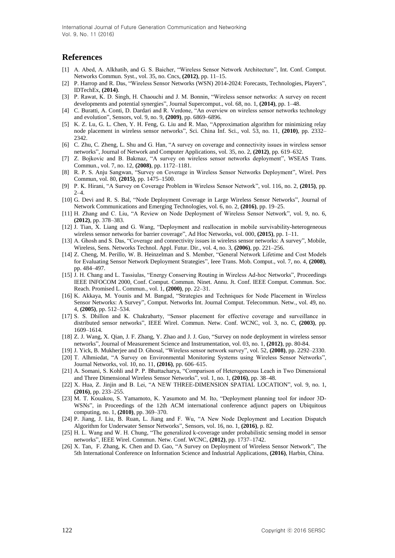## **References**

- [1] A. Abed, A. Alkhatib, and G. S. Baicher, "Wireless Sensor Network Architecture", Int. Conf. Comput. Networks Commun. Syst., vol. 35, no. Cncs, **(2012)**, pp. 11–15.
- [2] P. Harrop and R. Das, "Wireless Sensor Networks (WSN) 2014-2024: Forecasts, Technologies, Players", IDTechEx, **(2014)**.
- [3] P. Rawat, K. D. Singh, H. Chaouchi and J. M. Bonnin, "Wireless sensor networks: A survey on recent developments and potential synergies", Journal Supercomput., vol. 68, no. 1,  $(2014)$ , pp. 1–48.
- [4] C. Buratti, A. Conti, D. Dardari and R. Verdone, "An overview on wireless sensor networks technology and evolution‖, Sensors, vol. 9, no. 9, **(2009)**, pp. 6869–6896.
- [5] K. Z. Lu, G. L. Chen, Y. H. Feng, G. Liu and R. Mao, "Approximation algorithm for minimizing relay node placement in wireless sensor networks<sup>"</sup>, Sci. China Inf. Sci., vol. 53, no. 11, (2010), pp. 2332– 2342.
- [6] C. Zhu, C. Zheng, L. Shu and G. Han, "A survey on coverage and connectivity issues in wireless sensor networks‖, Journal of Network and Computer Applications, vol. 35, no. 2, **(2012)**, pp. 619–632.
- [7] Z. Bojkovic and B. Bakmaz, "A survey on wireless sensor networks deployment", WSEAS Trans. Commun., vol. 7, no. 12, **(2008)**, pp. 1172–1181.
- [8] R. P. S. Anju Sangwan, "Survey on Coverage in Wireless Sensor Networks Deployment", Wirel. Pers Commun, vol. 80, **(2015)**, pp. 1475–1500.
- [9] P. K. Hirani, ―A Survey on Coverage Problem in Wireless Sensor Network‖, vol. 116, no. 2, **(2015)**, pp.  $2 - 4$ .
- [10] G. Devi and R. S. Bal, "Node Deployment Coverage in Large Wireless Sensor Networks", Journal of Network Communications and Emerging Technologies, vol. 6, no. 2, **(2016)**, pp. 19–25.
- [11] H. Zhang and C. Liu, "A Review on Node Deployment of Wireless Sensor Network", vol. 9, no. 6, **(2012)**, pp. 378–383.
- [12] J. Tian, X. Liang and G. Wang, "Deployment and reallocation in mobile survivability-heterogeneous wireless sensor networks for barrier coverage", Ad Hoc Networks, vol. 000, (2015), pp. 1–11.
- [13] A. Ghosh and S. Das, "Coverage and connectivity issues in wireless sensor networks: A survey", Mobile, Wireless, Sens. Networks Technol. Appl. Futur. Dir., vol. 4, no. 3, **(2006)**, pp. 221–256.
- [14] Z. Cheng, M. Perillo, W. B. Heinzelman and S. Member, "General Network Lifetime and Cost Models for Evaluating Sensor Network Deployment Strategies", Ieee Trans. Mob. Comput., vol. 7, no. 4, (2008), pp. 484–497.
- [15] J. H. Chang and L. Tassiulas, "Energy Conserving Routing in Wireless Ad-hoc Networks", Proceedings IEEE INFOCOM 2000, Conf. Comput. Commun. Ninet. Annu. Jt. Conf. IEEE Comput. Commun. Soc. Reach. Promised L. Commun., vol. 1, **(2000)**, pp. 22–31.
- [16] K. Akkaya, M. Younis and M. Bangad, "Strategies and Techniques for Node Placement in Wireless Sensor Networks: A Survey", Comput. Networks Int. Journal Comput. Telecommun. Netw., vol. 49, no. 4, **(2005)**, pp. 512–534.
- [17] S. S. Dhillon and K. Chakrabarty, "Sensor placement for effective coverage and surveillance in distributed sensor networks", IEEE Wirel. Commun. Netw. Conf. WCNC, vol. 3, no. C, (2003), pp. 1609–1614.
- [18] Z. J. Wang, X. Qian, J. F. Zhang, Y. Zhao and J. J. Guo, "Survey on node deployment in wireless sensor networks‖, Journal of Measurement Science and Instrumentation, vol. 03, no. 1, **(2012)**, pp. 80-84.
- [19] J. Yick, B. Mukherjee and D. Ghosal, "Wireless sensor network survey", vol. 52, (2008), pp. 2292-2330.
- [20] T. Alhmiedat, "A Survey on Environmental Monitoring Systems using Wireless Sensor Networks", Journal Networks, vol. 10, no. 11, **(2016)**, pp. 606–615.
- [21] A. Somani, S. Kohli and P. P. Bhattacharya, "Comparison of Heterogeneous Leach in Two Dimensional and Three Dimensional Wireless Sensor Networks<sup>3</sup>, vol. 1, no. 1, (2016), pp. 38-48.
- [22] X. Hua, Z. Jinjin and B. Lei, "A NEW THREE-DIMENSION SPATIAL LOCATION", vol. 9, no. 1, **(2016)**, pp. 233–255.
- [23] M. T. Kouakou, S. Yamamoto, K. Yasumoto and M. Ito, "Deployment planning tool for indoor 3D-WSNs", in Proceedings of the 12th ACM international conference adjunct papers on Ubiquitous computing, no. 1, **(2010)**, pp. 369–370.
- [24] P. Jiang, J. Liu, B. Ruan, L. Jiang and F. Wu, "A New Node Deployment and Location Dispatch Algorithm for Underwater Sensor Networks‖, Sensors, vol. 16, no. 1, **(2016)**, p. 82.
- [25] H. L. Wang and W. H. Chung, "The generalized k-coverage under probabilistic sensing model in sensor networks‖, IEEE Wirel. Commun. Netw. Conf. WCNC, **(2012)**, pp. 1737–1742.
- [26] X. Tan, F. Zhang, K. Chen and D. Gao, "A Survey on Deployment of Wireless Sensor Network", The 5th International Conference on Information Science and Industrial Applications, **(2016)**, Harbin, China.